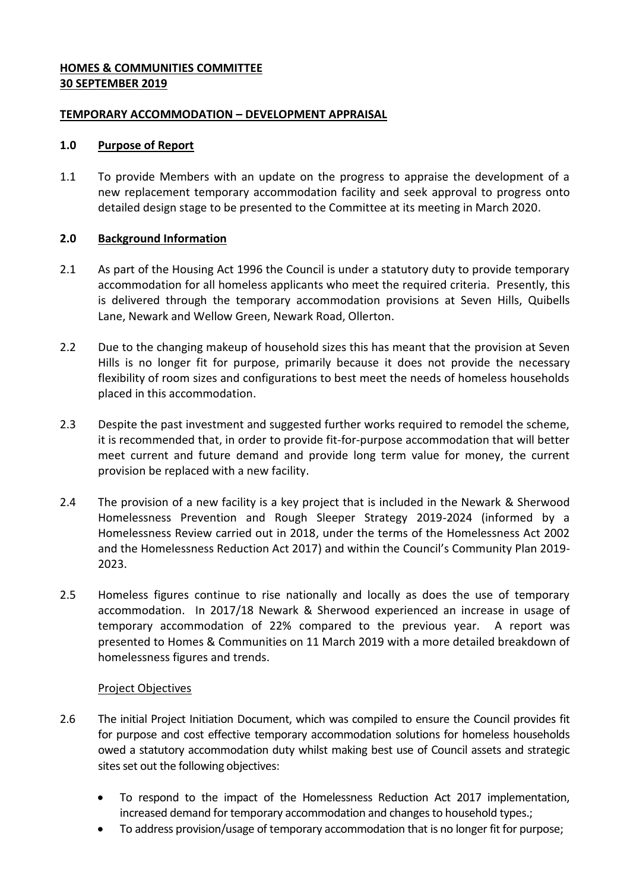# **HOMES & COMMUNITIES COMMITTEE 30 SEPTEMBER 2019**

### **TEMPORARY ACCOMMODATION – DEVELOPMENT APPRAISAL**

### **1.0 Purpose of Report**

1.1 To provide Members with an update on the progress to appraise the development of a new replacement temporary accommodation facility and seek approval to progress onto detailed design stage to be presented to the Committee at its meeting in March 2020.

# **2.0 Background Information**

- 2.1 As part of the Housing Act 1996 the Council is under a statutory duty to provide temporary accommodation for all homeless applicants who meet the required criteria. Presently, this is delivered through the temporary accommodation provisions at Seven Hills, Quibells Lane, Newark and Wellow Green, Newark Road, Ollerton.
- 2.2 Due to the changing makeup of household sizes this has meant that the provision at Seven Hills is no longer fit for purpose, primarily because it does not provide the necessary flexibility of room sizes and configurations to best meet the needs of homeless households placed in this accommodation.
- 2.3 Despite the past investment and suggested further works required to remodel the scheme, it is recommended that, in order to provide fit-for-purpose accommodation that will better meet current and future demand and provide long term value for money, the current provision be replaced with a new facility.
- 2.4 The provision of a new facility is a key project that is included in the Newark & Sherwood Homelessness Prevention and Rough Sleeper Strategy 2019-2024 (informed by a Homelessness Review carried out in 2018, under the terms of the Homelessness Act 2002 and the Homelessness Reduction Act 2017) and within the Council's Community Plan 2019- 2023.
- 2.5 Homeless figures continue to rise nationally and locally as does the use of temporary accommodation. In 2017/18 Newark & Sherwood experienced an increase in usage of temporary accommodation of 22% compared to the previous year. A report was presented to Homes & Communities on 11 March 2019 with a more detailed breakdown of homelessness figures and trends.

### Project Objectives

- 2.6 The initial Project Initiation Document, which was compiled to ensure the Council provides fit for purpose and cost effective temporary accommodation solutions for homeless households owed a statutory accommodation duty whilst making best use of Council assets and strategic sites set out the following objectives:
	- To respond to the impact of the Homelessness Reduction Act 2017 implementation, increased demand for temporary accommodation and changes to household types.;
	- To address provision/usage of temporary accommodation that is no longer fit for purpose;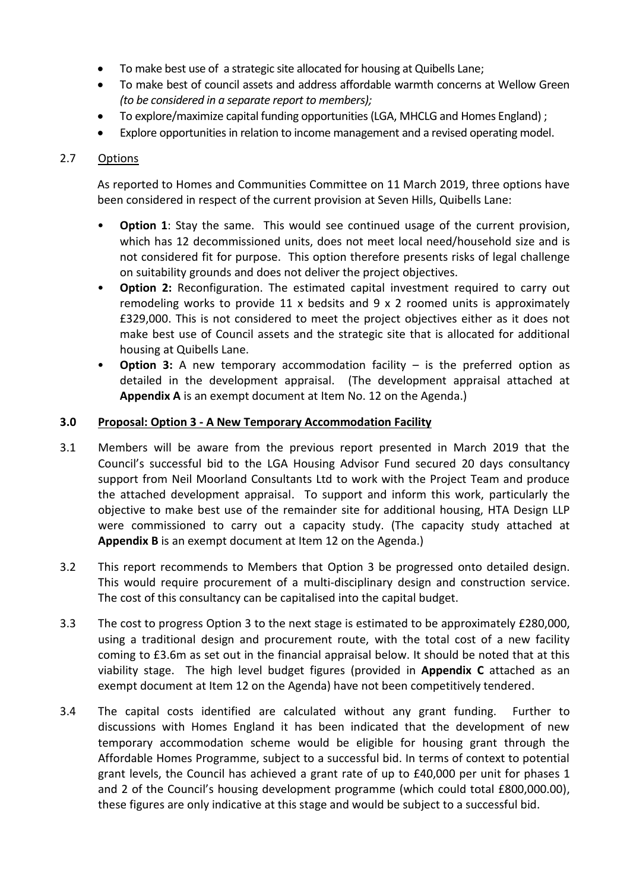- To make best use of a strategic site allocated for housing at Quibells Lane;
- To make best of council assets and address affordable warmth concerns at Wellow Green *(to be considered in a separate report to members);*
- To explore/maximize capital funding opportunities (LGA, MHCLG and Homes England) ;
- Explore opportunities in relation to income management and a revised operating model.

# 2.7 Options

As reported to Homes and Communities Committee on 11 March 2019, three options have been considered in respect of the current provision at Seven Hills, Quibells Lane:

- **Option 1**: Stay the same. This would see continued usage of the current provision, which has 12 decommissioned units, does not meet local need/household size and is not considered fit for purpose. This option therefore presents risks of legal challenge on suitability grounds and does not deliver the project objectives.
- **Option 2:** Reconfiguration. The estimated capital investment required to carry out remodeling works to provide 11 x bedsits and 9 x 2 roomed units is approximately £329,000. This is not considered to meet the project objectives either as it does not make best use of Council assets and the strategic site that is allocated for additional housing at Quibells Lane.
- **Option 3:** A new temporary accommodation facility is the preferred option as detailed in the development appraisal. (The development appraisal attached at **Appendix A** is an exempt document at Item No. 12 on the Agenda.)

### **3.0 Proposal: Option 3 - A New Temporary Accommodation Facility**

- 3.1 Members will be aware from the previous report presented in March 2019 that the Council's successful bid to the LGA Housing Advisor Fund secured 20 days consultancy support from Neil Moorland Consultants Ltd to work with the Project Team and produce the attached development appraisal. To support and inform this work, particularly the objective to make best use of the remainder site for additional housing, HTA Design LLP were commissioned to carry out a capacity study. (The capacity study attached at **Appendix B** is an exempt document at Item 12 on the Agenda.)
- 3.2 This report recommends to Members that Option 3 be progressed onto detailed design. This would require procurement of a multi-disciplinary design and construction service. The cost of this consultancy can be capitalised into the capital budget.
- 3.3 The cost to progress Option 3 to the next stage is estimated to be approximately £280,000, using a traditional design and procurement route, with the total cost of a new facility coming to £3.6m as set out in the financial appraisal below. It should be noted that at this viability stage. The high level budget figures (provided in **Appendix C** attached as an exempt document at Item 12 on the Agenda) have not been competitively tendered.
- 3.4 The capital costs identified are calculated without any grant funding. Further to discussions with Homes England it has been indicated that the development of new temporary accommodation scheme would be eligible for housing grant through the Affordable Homes Programme, subject to a successful bid. In terms of context to potential grant levels, the Council has achieved a grant rate of up to £40,000 per unit for phases 1 and 2 of the Council's housing development programme (which could total £800,000.00), these figures are only indicative at this stage and would be subject to a successful bid.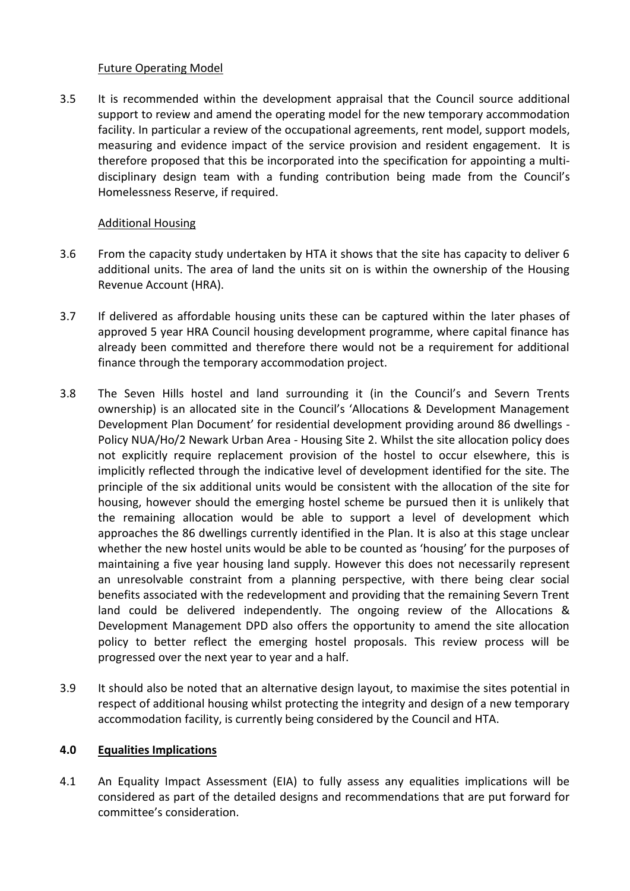### Future Operating Model

3.5 It is recommended within the development appraisal that the Council source additional support to review and amend the operating model for the new temporary accommodation facility. In particular a review of the occupational agreements, rent model, support models, measuring and evidence impact of the service provision and resident engagement. It is therefore proposed that this be incorporated into the specification for appointing a multidisciplinary design team with a funding contribution being made from the Council's Homelessness Reserve, if required.

# Additional Housing

- 3.6 From the capacity study undertaken by HTA it shows that the site has capacity to deliver 6 additional units. The area of land the units sit on is within the ownership of the Housing Revenue Account (HRA).
- 3.7 If delivered as affordable housing units these can be captured within the later phases of approved 5 year HRA Council housing development programme, where capital finance has already been committed and therefore there would not be a requirement for additional finance through the temporary accommodation project.
- 3.8 The Seven Hills hostel and land surrounding it (in the Council's and Severn Trents ownership) is an allocated site in the Council's 'Allocations & Development Management Development Plan Document' for residential development providing around 86 dwellings - Policy NUA/Ho/2 Newark Urban Area - Housing Site 2. Whilst the site allocation policy does not explicitly require replacement provision of the hostel to occur elsewhere, this is implicitly reflected through the indicative level of development identified for the site. The principle of the six additional units would be consistent with the allocation of the site for housing, however should the emerging hostel scheme be pursued then it is unlikely that the remaining allocation would be able to support a level of development which approaches the 86 dwellings currently identified in the Plan. It is also at this stage unclear whether the new hostel units would be able to be counted as 'housing' for the purposes of maintaining a five year housing land supply. However this does not necessarily represent an unresolvable constraint from a planning perspective, with there being clear social benefits associated with the redevelopment and providing that the remaining Severn Trent land could be delivered independently. The ongoing review of the Allocations & Development Management DPD also offers the opportunity to amend the site allocation policy to better reflect the emerging hostel proposals. This review process will be progressed over the next year to year and a half.
- 3.9 It should also be noted that an alternative design layout, to maximise the sites potential in respect of additional housing whilst protecting the integrity and design of a new temporary accommodation facility, is currently being considered by the Council and HTA.

# **4.0 Equalities Implications**

4.1 An Equality Impact Assessment (EIA) to fully assess any equalities implications will be considered as part of the detailed designs and recommendations that are put forward for committee's consideration.